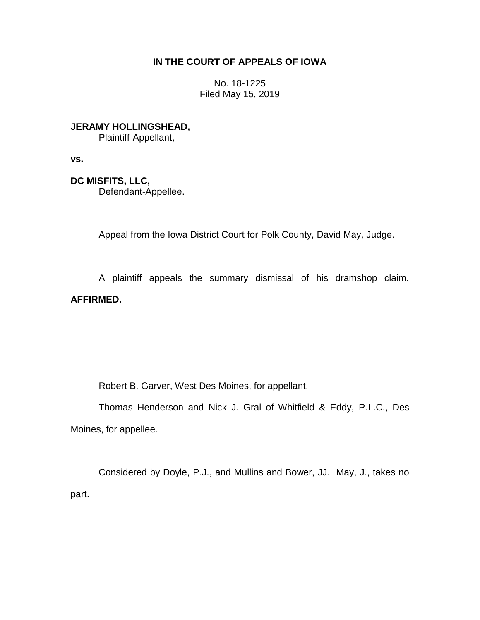## **IN THE COURT OF APPEALS OF IOWA**

No. 18-1225 Filed May 15, 2019

**JERAMY HOLLINGSHEAD,** Plaintiff-Appellant,

**vs.**

**DC MISFITS, LLC,** Defendant-Appellee.

Appeal from the Iowa District Court for Polk County, David May, Judge.

\_\_\_\_\_\_\_\_\_\_\_\_\_\_\_\_\_\_\_\_\_\_\_\_\_\_\_\_\_\_\_\_\_\_\_\_\_\_\_\_\_\_\_\_\_\_\_\_\_\_\_\_\_\_\_\_\_\_\_\_\_\_\_\_

A plaintiff appeals the summary dismissal of his dramshop claim. **AFFIRMED.**

Robert B. Garver, West Des Moines, for appellant.

Thomas Henderson and Nick J. Gral of Whitfield & Eddy, P.L.C., Des Moines, for appellee.

Considered by Doyle, P.J., and Mullins and Bower, JJ. May, J., takes no part.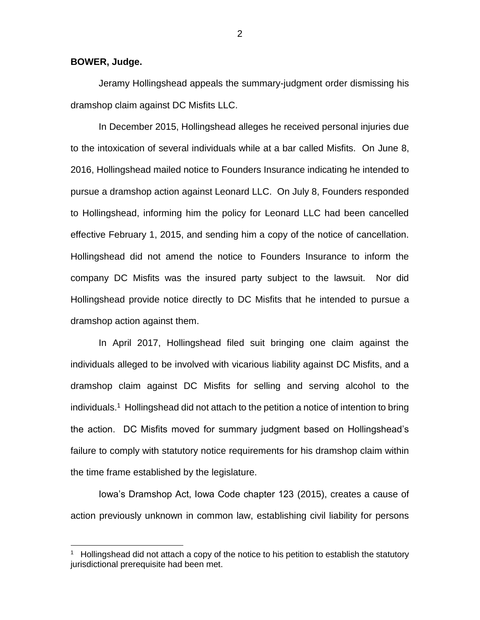**BOWER, Judge.**

 $\overline{a}$ 

Jeramy Hollingshead appeals the summary-judgment order dismissing his dramshop claim against DC Misfits LLC.

In December 2015, Hollingshead alleges he received personal injuries due to the intoxication of several individuals while at a bar called Misfits. On June 8, 2016, Hollingshead mailed notice to Founders Insurance indicating he intended to pursue a dramshop action against Leonard LLC. On July 8, Founders responded to Hollingshead, informing him the policy for Leonard LLC had been cancelled effective February 1, 2015, and sending him a copy of the notice of cancellation. Hollingshead did not amend the notice to Founders Insurance to inform the company DC Misfits was the insured party subject to the lawsuit. Nor did Hollingshead provide notice directly to DC Misfits that he intended to pursue a dramshop action against them.

In April 2017, Hollingshead filed suit bringing one claim against the individuals alleged to be involved with vicarious liability against DC Misfits, and a dramshop claim against DC Misfits for selling and serving alcohol to the individuals.<sup>1</sup> Hollingshead did not attach to the petition a notice of intention to bring the action. DC Misfits moved for summary judgment based on Hollingshead's failure to comply with statutory notice requirements for his dramshop claim within the time frame established by the legislature.

Iowa's Dramshop Act, Iowa Code chapter 123 (2015), creates a cause of action previously unknown in common law, establishing civil liability for persons

<sup>1</sup> Hollingshead did not attach a copy of the notice to his petition to establish the statutory jurisdictional prerequisite had been met.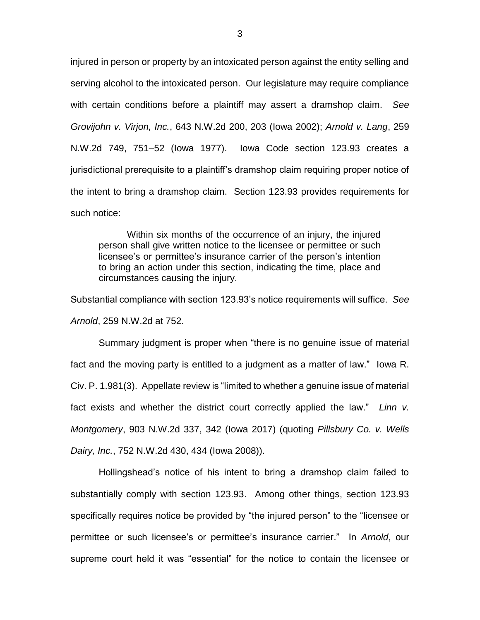injured in person or property by an intoxicated person against the entity selling and serving alcohol to the intoxicated person. Our legislature may require compliance with certain conditions before a plaintiff may assert a dramshop claim. *See Grovijohn v. Virjon, Inc.*, 643 N.W.2d 200, 203 (Iowa 2002); *Arnold v. Lang*, 259 N.W.2d 749, 751–52 (Iowa 1977). Iowa Code section 123.93 creates a jurisdictional prerequisite to a plaintiff's dramshop claim requiring proper notice of the intent to bring a dramshop claim. Section 123.93 provides requirements for such notice:

Within six months of the occurrence of an injury, the injured person shall give written notice to the licensee or permittee or such licensee's or permittee's insurance carrier of the person's intention to bring an action under this section, indicating the time, place and circumstances causing the injury.

Substantial compliance with section 123.93's notice requirements will suffice. *See Arnold*, 259 N.W.2d at 752.

Summary judgment is proper when "there is no genuine issue of material fact and the moving party is entitled to a judgment as a matter of law." Iowa R. Civ. P. 1.981(3). Appellate review is "limited to whether a genuine issue of material fact exists and whether the district court correctly applied the law." *Linn v. Montgomery*, 903 N.W.2d 337, 342 (Iowa 2017) (quoting *Pillsbury Co. v. Wells Dairy, Inc.*, 752 N.W.2d 430, 434 (Iowa 2008)).

Hollingshead's notice of his intent to bring a dramshop claim failed to substantially comply with section 123.93. Among other things, section 123.93 specifically requires notice be provided by "the injured person" to the "licensee or permittee or such licensee's or permittee's insurance carrier." In *Arnold*, our supreme court held it was "essential" for the notice to contain the licensee or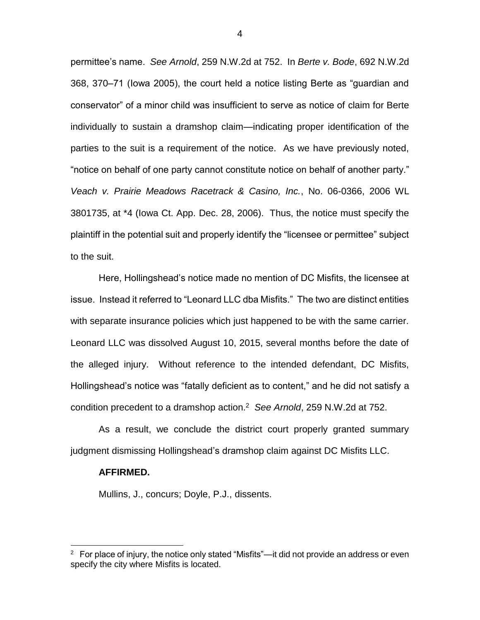permittee's name. *See Arnold*, 259 N.W.2d at 752. In *Berte v. Bode*, 692 N.W.2d 368, 370–71 (Iowa 2005), the court held a notice listing Berte as "guardian and conservator" of a minor child was insufficient to serve as notice of claim for Berte individually to sustain a dramshop claim—indicating proper identification of the parties to the suit is a requirement of the notice. As we have previously noted, "notice on behalf of one party cannot constitute notice on behalf of another party." *Veach v. Prairie Meadows Racetrack & Casino, Inc.*, No. 06-0366, 2006 WL 3801735, at \*4 (Iowa Ct. App. Dec. 28, 2006). Thus, the notice must specify the plaintiff in the potential suit and properly identify the "licensee or permittee" subject to the suit.

Here, Hollingshead's notice made no mention of DC Misfits, the licensee at issue. Instead it referred to "Leonard LLC dba Misfits." The two are distinct entities with separate insurance policies which just happened to be with the same carrier. Leonard LLC was dissolved August 10, 2015, several months before the date of the alleged injury. Without reference to the intended defendant, DC Misfits, Hollingshead's notice was "fatally deficient as to content," and he did not satisfy a condition precedent to a dramshop action.<sup>2</sup> *See Arnold*, 259 N.W.2d at 752.

As a result, we conclude the district court properly granted summary judgment dismissing Hollingshead's dramshop claim against DC Misfits LLC.

## **AFFIRMED.**

 $\overline{a}$ 

Mullins, J., concurs; Doyle, P.J., dissents.

 $2$  For place of injury, the notice only stated "Misfits"—it did not provide an address or even specify the city where Misfits is located.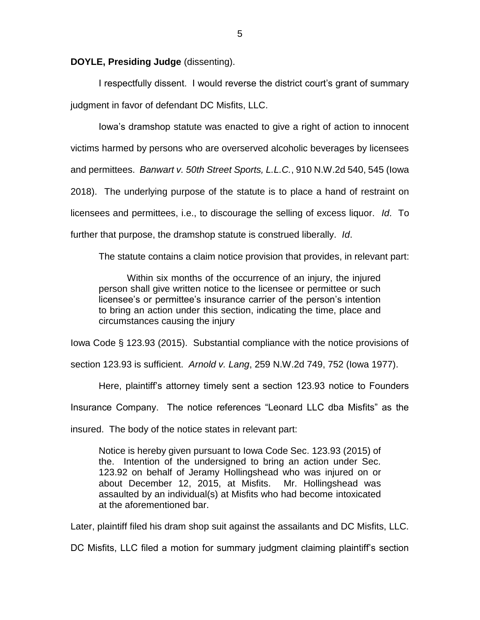**DOYLE, Presiding Judge** (dissenting).

I respectfully dissent. I would reverse the district court's grant of summary judgment in favor of defendant DC Misfits, LLC.

Iowa's dramshop statute was enacted to give a right of action to innocent victims harmed by persons who are overserved alcoholic beverages by licensees and permittees. *Banwart v. 50th Street Sports, L.L.C.*, 910 N.W.2d 540, 545 (Iowa 2018). The underlying purpose of the statute is to place a hand of restraint on licensees and permittees, i.e., to discourage the selling of excess liquor. *Id*. To further that purpose, the dramshop statute is construed liberally. *Id*.

The statute contains a claim notice provision that provides, in relevant part:

Within six months of the occurrence of an injury, the injured person shall give written notice to the licensee or permittee or such licensee's or permittee's insurance carrier of the person's intention to bring an action under this section, indicating the time, place and circumstances causing the injury

Iowa Code § 123.93 (2015). Substantial compliance with the notice provisions of

section 123.93 is sufficient. *Arnold v. Lang*, 259 N.W.2d 749, 752 (Iowa 1977).

Here, plaintiff's attorney timely sent a section 123.93 notice to Founders

Insurance Company. The notice references "Leonard LLC dba Misfits" as the

insured. The body of the notice states in relevant part:

Notice is hereby given pursuant to Iowa Code Sec. 123.93 (2015) of the. Intention of the undersigned to bring an action under Sec. 123.92 on behalf of Jeramy Hollingshead who was injured on or about December 12, 2015, at Misfits. Mr. Hollingshead was assaulted by an individual(s) at Misfits who had become intoxicated at the aforementioned bar.

Later, plaintiff filed his dram shop suit against the assailants and DC Misfits, LLC.

DC Misfits, LLC filed a motion for summary judgment claiming plaintiff's section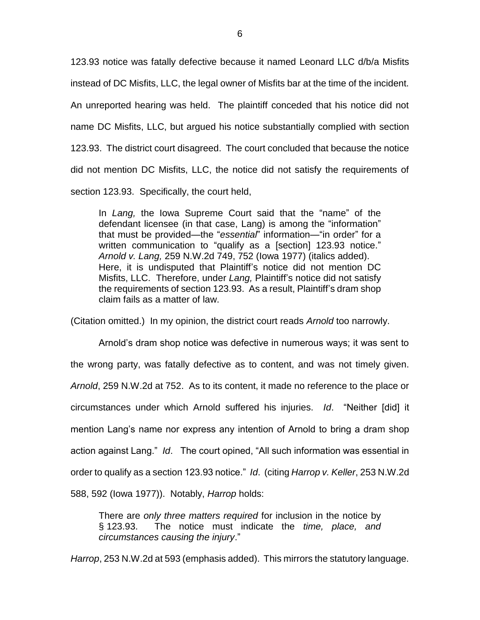123.93 notice was fatally defective because it named Leonard LLC d/b/a Misfits instead of DC Misfits, LLC, the legal owner of Misfits bar at the time of the incident. An unreported hearing was held. The plaintiff conceded that his notice did not name DC Misfits, LLC, but argued his notice substantially complied with section 123.93. The district court disagreed. The court concluded that because the notice did not mention DC Misfits, LLC, the notice did not satisfy the requirements of section 123.93. Specifically, the court held,

In *Lang,* the Iowa Supreme Court said that the "name" of the defendant licensee (in that case, Lang) is among the "information" that must be provided—the "*essential*" information—"in order" for a written communication to "qualify as a [section] 123.93 notice." *Arnold v. Lang,* 259 N.W.2d 749, 752 (Iowa 1977) (italics added). Here, it is undisputed that Plaintiff's notice did not mention DC Misfits, LLC. Therefore, under *Lang,* Plaintiff's notice did not satisfy the requirements of section 123.93. As a result, Plaintiff's dram shop claim fails as a matter of law.

(Citation omitted.) In my opinion, the district court reads *Arnold* too narrowly.

Arnold's dram shop notice was defective in numerous ways; it was sent to the wrong party, was fatally defective as to content, and was not timely given. *Arnold*, 259 N.W.2d at 752. As to its content, it made no reference to the place or circumstances under which Arnold suffered his injuries. *Id*. "Neither [did] it mention Lang's name nor express any intention of Arnold to bring a dram shop action against Lang." *Id*. The court opined, "All such information was essential in order to qualify as a section 123.93 notice." *Id*. (citing *Harrop v. Keller*, 253 N.W.2d 588, 592 (Iowa 1977)). Notably, *Harrop* holds:

There are *only three matters required* for inclusion in the notice by § 123.93. The notice must indicate the *time, place, and circumstances causing the injury*."

*Harrop*, 253 N.W.2d at 593 (emphasis added). This mirrors the statutory language.